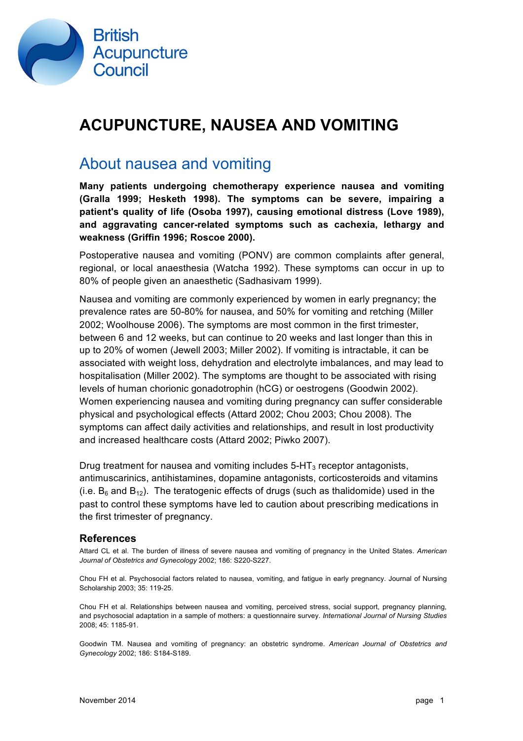

# **ACUPUNCTURE, NAUSEA AND VOMITING**

## About nausea and vomiting

**Many patients undergoing chemotherapy experience nausea and vomiting (Gralla 1999; Hesketh 1998). The symptoms can be severe, impairing a patient's quality of life (Osoba 1997), causing emotional distress (Love 1989), and aggravating cancer-related symptoms such as cachexia, lethargy and weakness (Griffin 1996; Roscoe 2000).** 

Postoperative nausea and vomiting (PONV) are common complaints after general, regional, or local anaesthesia (Watcha 1992). These symptoms can occur in up to 80% of people given an anaesthetic (Sadhasivam 1999).

Nausea and vomiting are commonly experienced by women in early pregnancy; the prevalence rates are 50-80% for nausea, and 50% for vomiting and retching (Miller 2002; Woolhouse 2006). The symptoms are most common in the first trimester, between 6 and 12 weeks, but can continue to 20 weeks and last longer than this in up to 20% of women (Jewell 2003; Miller 2002). If vomiting is intractable, it can be associated with weight loss, dehydration and electrolyte imbalances, and may lead to hospitalisation (Miller 2002). The symptoms are thought to be associated with rising levels of human chorionic gonadotrophin (hCG) or oestrogens (Goodwin 2002). Women experiencing nausea and vomiting during pregnancy can suffer considerable physical and psychological effects (Attard 2002; Chou 2003; Chou 2008). The symptoms can affect daily activities and relationships, and result in lost productivity and increased healthcare costs (Attard 2002; Piwko 2007).

Drug treatment for nausea and vomiting includes  $5-HT<sub>3</sub>$  receptor antagonists, antimuscarinics, antihistamines, dopamine antagonists, corticosteroids and vitamins (i.e.  $B_6$  and  $B_{12}$ ). The teratogenic effects of drugs (such as thalidomide) used in the past to control these symptoms have led to caution about prescribing medications in the first trimester of pregnancy.

### **References**

Attard CL et al. The burden of illness of severe nausea and vomiting of pregnancy in the United States. *American Journal of Obstetrics and Gynecology* 2002; 186: S220-S227.

Chou FH et al. Psychosocial factors related to nausea, vomiting, and fatigue in early pregnancy. Journal of Nursing Scholarship 2003; 35: 119-25.

Chou FH et al. Relationships between nausea and vomiting, perceived stress, social support, pregnancy planning, and psychosocial adaptation in a sample of mothers: a questionnaire survey. *International Journal of Nursing Studies* 2008; 45: 1185-91.

Goodwin TM. Nausea and vomiting of pregnancy: an obstetric syndrome. *American Journal of Obstetrics and Gynecology* 2002; 186: S184-S189.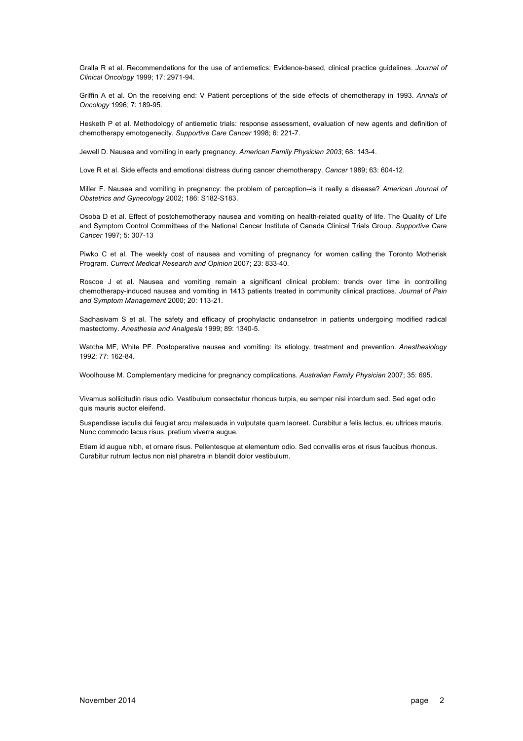Gralla R et al. Recommendations for the use of antiemetics: Evidence-based, clinical practice guidelines. *Journal of Clinical Oncology* 1999; 17: 2971-94.

Griffin A et al. On the receiving end: V Patient perceptions of the side effects of chemotherapy in 1993. *Annals of Oncology* 1996; 7: 189-95.

Hesketh P et al. Methodology of antiemetic trials: response assessment, evaluation of new agents and definition of chemotherapy emotogenecity. *Supportive Care Cancer* 1998; 6: 221-7.

Jewell D. Nausea and vomiting in early pregnancy. *American Family Physician 2003*; 68: 143-4.

Love R et al. Side effects and emotional distress during cancer chemotherapy. *Cancer* 1989; 63: 604-12.

Miller F. Nausea and vomiting in pregnancy: the problem of perception--is it really a disease? *American Journal of Obstetrics and Gynecology* 2002; 186: S182-S183.

Osoba D et al. Effect of postchemotherapy nausea and vomiting on health-related quality of life. The Quality of Life and Symptom Control Committees of the National Cancer Institute of Canada Clinical Trials Group. *Supportive Care Cancer* 1997; 5: 307-13

Piwko C et al. The weekly cost of nausea and vomiting of pregnancy for women calling the Toronto Motherisk Program. *Current Medical Research and Opinion* 2007; 23: 833-40.

Roscoe J et al. Nausea and vomiting remain a significant clinical problem: trends over time in controlling chemotherapy-induced nausea and vomiting in 1413 patients treated in community clinical practices. *Journal of Pain and Symptom Management* 2000; 20: 113-21.

Sadhasivam S et al. The safety and efficacy of prophylactic ondansetron in patients undergoing modified radical mastectomy. *Anesthesia and Analgesia* 1999; 89: 1340-5.

Watcha MF, White PF. Postoperative nausea and vomiting: its etiology, treatment and prevention. *Anesthesiology* 1992; 77: 162-84.

Woolhouse M. Complementary medicine for pregnancy complications. *Australian Family Physician* 2007; 35: 695.

Vivamus sollicitudin risus odio. Vestibulum consectetur rhoncus turpis, eu semper nisi interdum sed. Sed eget odio quis mauris auctor eleifend.

Suspendisse iaculis dui feugiat arcu malesuada in vulputate quam laoreet. Curabitur a felis lectus, eu ultrices mauris. Nunc commodo lacus risus, pretium viverra augue.

Etiam id augue nibh, et ornare risus. Pellentesque at elementum odio. Sed convallis eros et risus faucibus rhoncus. Curabitur rutrum lectus non nisl pharetra in blandit dolor vestibulum.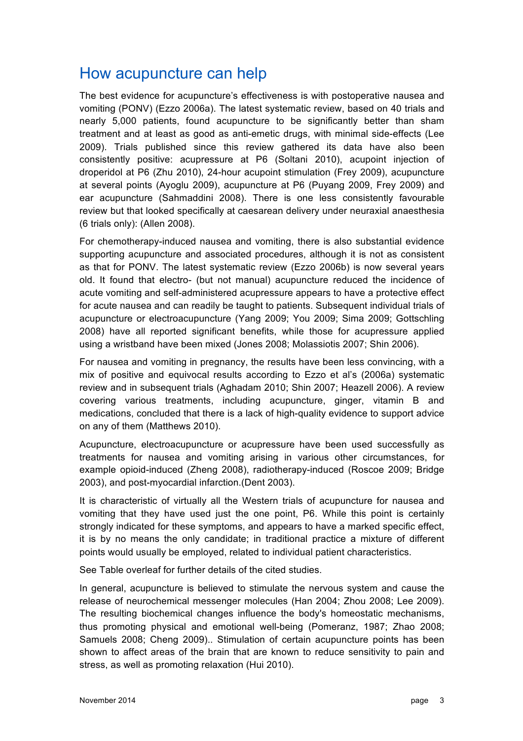## How acupuncture can help

The best evidence for acupuncture's effectiveness is with postoperative nausea and vomiting (PONV) (Ezzo 2006a). The latest systematic review, based on 40 trials and nearly 5,000 patients, found acupuncture to be significantly better than sham treatment and at least as good as anti-emetic drugs, with minimal side-effects (Lee 2009). Trials published since this review gathered its data have also been consistently positive: acupressure at P6 (Soltani 2010), acupoint injection of droperidol at P6 (Zhu 2010), 24-hour acupoint stimulation (Frey 2009), acupuncture at several points (Ayoglu 2009), acupuncture at P6 (Puyang 2009, Frey 2009) and ear acupuncture (Sahmaddini 2008). There is one less consistently favourable review but that looked specifically at caesarean delivery under neuraxial anaesthesia (6 trials only): (Allen 2008).

For chemotherapy-induced nausea and vomiting, there is also substantial evidence supporting acupuncture and associated procedures, although it is not as consistent as that for PONV. The latest systematic review (Ezzo 2006b) is now several years old. It found that electro- (but not manual) acupuncture reduced the incidence of acute vomiting and self-administered acupressure appears to have a protective effect for acute nausea and can readily be taught to patients. Subsequent individual trials of acupuncture or electroacupuncture (Yang 2009; You 2009; Sima 2009; Gottschling 2008) have all reported significant benefits, while those for acupressure applied using a wristband have been mixed (Jones 2008; Molassiotis 2007; Shin 2006).

For nausea and vomiting in pregnancy, the results have been less convincing, with a mix of positive and equivocal results according to Ezzo et al's (2006a) systematic review and in subsequent trials (Aghadam 2010; Shin 2007; Heazell 2006). A review covering various treatments, including acupuncture, ginger, vitamin B and medications, concluded that there is a lack of high-quality evidence to support advice on any of them (Matthews 2010).

Acupuncture, electroacupuncture or acupressure have been used successfully as treatments for nausea and vomiting arising in various other circumstances, for example opioid-induced (Zheng 2008), radiotherapy-induced (Roscoe 2009; Bridge 2003), and post-myocardial infarction.(Dent 2003).

It is characteristic of virtually all the Western trials of acupuncture for nausea and vomiting that they have used just the one point, P6. While this point is certainly strongly indicated for these symptoms, and appears to have a marked specific effect, it is by no means the only candidate; in traditional practice a mixture of different points would usually be employed, related to individual patient characteristics.

See Table overleaf for further details of the cited studies.

In general, acupuncture is believed to stimulate the nervous system and cause the release of neurochemical messenger molecules (Han 2004; Zhou 2008; Lee 2009). The resulting biochemical changes influence the body's homeostatic mechanisms, thus promoting physical and emotional well-being (Pomeranz, 1987; Zhao 2008; Samuels 2008; Cheng 2009).. Stimulation of certain acupuncture points has been shown to affect areas of the brain that are known to reduce sensitivity to pain and stress, as well as promoting relaxation (Hui 2010).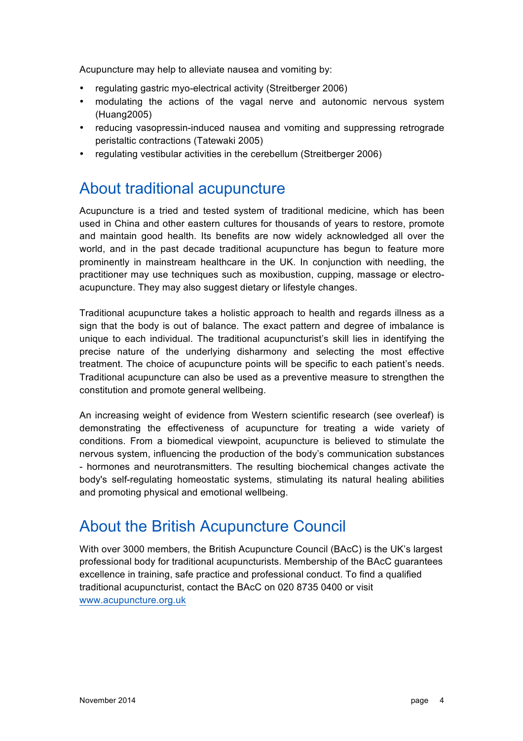Acupuncture may help to alleviate nausea and vomiting by:

- regulating gastric myo-electrical activity (Streitberger 2006)
- modulating the actions of the vagal nerve and autonomic nervous system (Huang2005)
- reducing vasopressin-induced nausea and vomiting and suppressing retrograde peristaltic contractions (Tatewaki 2005)
- regulating vestibular activities in the cerebellum (Streitberger 2006)

# About traditional acupuncture

Acupuncture is a tried and tested system of traditional medicine, which has been used in China and other eastern cultures for thousands of years to restore, promote and maintain good health. Its benefits are now widely acknowledged all over the world, and in the past decade traditional acupuncture has begun to feature more prominently in mainstream healthcare in the UK. In conjunction with needling, the practitioner may use techniques such as moxibustion, cupping, massage or electroacupuncture. They may also suggest dietary or lifestyle changes.

Traditional acupuncture takes a holistic approach to health and regards illness as a sign that the body is out of balance. The exact pattern and degree of imbalance is unique to each individual. The traditional acupuncturist's skill lies in identifying the precise nature of the underlying disharmony and selecting the most effective treatment. The choice of acupuncture points will be specific to each patient's needs. Traditional acupuncture can also be used as a preventive measure to strengthen the constitution and promote general wellbeing.

An increasing weight of evidence from Western scientific research (see overleaf) is demonstrating the effectiveness of acupuncture for treating a wide variety of conditions. From a biomedical viewpoint, acupuncture is believed to stimulate the nervous system, influencing the production of the body's communication substances - hormones and neurotransmitters. The resulting biochemical changes activate the body's self-regulating homeostatic systems, stimulating its natural healing abilities and promoting physical and emotional wellbeing.

# About the British Acupuncture Council

With over 3000 members, the British Acupuncture Council (BAcC) is the UK's largest professional body for traditional acupuncturists. Membership of the BAcC guarantees excellence in training, safe practice and professional conduct. To find a qualified traditional acupuncturist, contact the BAcC on 020 8735 0400 or visit www.acupuncture.org.uk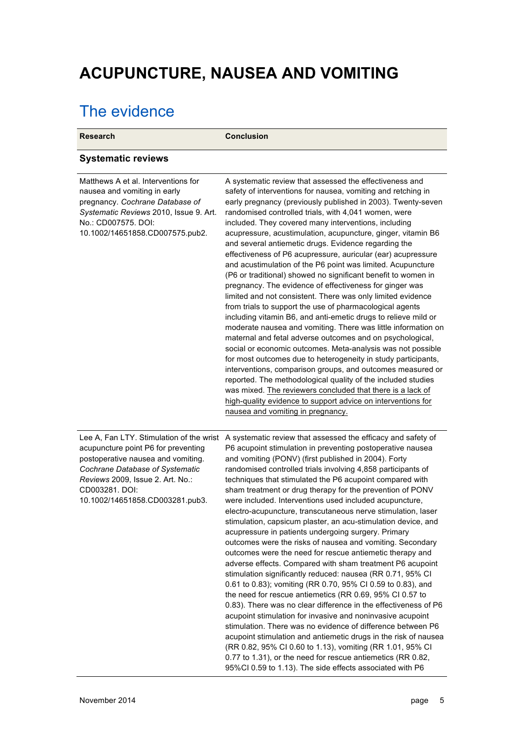# **ACUPUNCTURE, NAUSEA AND VOMITING**

# The evidence

| <b>Research</b>                                                                                                                                                                                                                                   | <b>Conclusion</b>                                                                                                                                                                                                                                                                                                                                                                                                                                                                                                                                                                                                                                                                                                                                                                                                                                                                                                                                                                                                                                                                                                                                                                                                                                                                                                                                                                                                                                                        |
|---------------------------------------------------------------------------------------------------------------------------------------------------------------------------------------------------------------------------------------------------|--------------------------------------------------------------------------------------------------------------------------------------------------------------------------------------------------------------------------------------------------------------------------------------------------------------------------------------------------------------------------------------------------------------------------------------------------------------------------------------------------------------------------------------------------------------------------------------------------------------------------------------------------------------------------------------------------------------------------------------------------------------------------------------------------------------------------------------------------------------------------------------------------------------------------------------------------------------------------------------------------------------------------------------------------------------------------------------------------------------------------------------------------------------------------------------------------------------------------------------------------------------------------------------------------------------------------------------------------------------------------------------------------------------------------------------------------------------------------|
| <b>Systematic reviews</b>                                                                                                                                                                                                                         |                                                                                                                                                                                                                                                                                                                                                                                                                                                                                                                                                                                                                                                                                                                                                                                                                                                                                                                                                                                                                                                                                                                                                                                                                                                                                                                                                                                                                                                                          |
| Matthews A et al. Interventions for<br>nausea and vomiting in early<br>pregnancy. Cochrane Database of<br>Systematic Reviews 2010, Issue 9. Art.<br>No.: CD007575, DOI:<br>10.1002/14651858.CD007575.pub2.                                        | A systematic review that assessed the effectiveness and<br>safety of interventions for nausea, vomiting and retching in<br>early pregnancy (previously published in 2003). Twenty-seven<br>randomised controlled trials, with 4,041 women, were<br>included. They covered many interventions, including<br>acupressure, acustimulation, acupuncture, ginger, vitamin B6<br>and several antiemetic drugs. Evidence regarding the<br>effectiveness of P6 acupressure, auricular (ear) acupressure<br>and acustimulation of the P6 point was limited. Acupuncture<br>(P6 or traditional) showed no significant benefit to women in<br>pregnancy. The evidence of effectiveness for ginger was<br>limited and not consistent. There was only limited evidence<br>from trials to support the use of pharmacological agents<br>including vitamin B6, and anti-emetic drugs to relieve mild or<br>moderate nausea and vomiting. There was little information on<br>maternal and fetal adverse outcomes and on psychological,<br>social or economic outcomes. Meta-analysis was not possible<br>for most outcomes due to heterogeneity in study participants,<br>interventions, comparison groups, and outcomes measured or<br>reported. The methodological quality of the included studies<br>was mixed. The reviewers concluded that there is a lack of<br>high-quality evidence to support advice on interventions for<br>nausea and vomiting in pregnancy.                   |
| Lee A, Fan LTY. Stimulation of the wrist<br>acupuncture point P6 for preventing<br>postoperative nausea and vomiting.<br>Cochrane Database of Systematic<br>Reviews 2009, Issue 2. Art. No.:<br>CD003281. DOI:<br>10.1002/14651858.CD003281.pub3. | A systematic review that assessed the efficacy and safety of<br>P6 acupoint stimulation in preventing postoperative nausea<br>and vomiting (PONV) (first published in 2004). Forty<br>randomised controlled trials involving 4,858 participants of<br>techniques that stimulated the P6 acupoint compared with<br>sham treatment or drug therapy for the prevention of PONV<br>were included. Interventions used included acupuncture,<br>electro-acupuncture, transcutaneous nerve stimulation, laser<br>stimulation, capsicum plaster, an acu-stimulation device, and<br>acupressure in patients undergoing surgery. Primary<br>outcomes were the risks of nausea and vomiting. Secondary<br>outcomes were the need for rescue antiemetic therapy and<br>adverse effects. Compared with sham treatment P6 acupoint<br>stimulation significantly reduced: nausea (RR 0.71, 95% CI<br>0.61 to 0.83); vomiting (RR 0.70, 95% CI 0.59 to 0.83), and<br>the need for rescue antiemetics (RR 0.69, 95% CI 0.57 to<br>0.83). There was no clear difference in the effectiveness of P6<br>acupoint stimulation for invasive and noninvasive acupoint<br>stimulation. There was no evidence of difference between P6<br>acupoint stimulation and antiemetic drugs in the risk of nausea<br>(RR 0.82, 95% CI 0.60 to 1.13), vomiting (RR 1.01, 95% CI<br>0.77 to 1.31), or the need for rescue antiemetics (RR 0.82,<br>95%Cl 0.59 to 1.13). The side effects associated with P6 |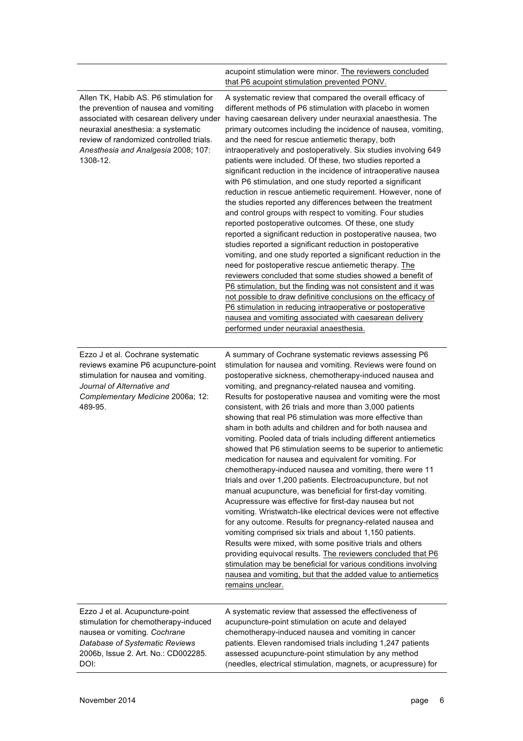|                                                                                                                                                                                                                                                                | acupoint stimulation were minor. The reviewers concluded<br>that P6 acupoint stimulation prevented PONV.                                                                                                                                                                                                                                                                                                                                                                                                                                                                                                                                                                                                                                                                                                                                                                                                                                                                                                                                                                                                                                                                                                                                                                                                                                                                                                                                                |
|----------------------------------------------------------------------------------------------------------------------------------------------------------------------------------------------------------------------------------------------------------------|---------------------------------------------------------------------------------------------------------------------------------------------------------------------------------------------------------------------------------------------------------------------------------------------------------------------------------------------------------------------------------------------------------------------------------------------------------------------------------------------------------------------------------------------------------------------------------------------------------------------------------------------------------------------------------------------------------------------------------------------------------------------------------------------------------------------------------------------------------------------------------------------------------------------------------------------------------------------------------------------------------------------------------------------------------------------------------------------------------------------------------------------------------------------------------------------------------------------------------------------------------------------------------------------------------------------------------------------------------------------------------------------------------------------------------------------------------|
| Allen TK, Habib AS. P6 stimulation for<br>the prevention of nausea and vomiting<br>associated with cesarean delivery under<br>neuraxial anesthesia: a systematic<br>review of randomized controlled trials.<br>Anesthesia and Analgesia 2008; 107:<br>1308-12. | A systematic review that compared the overall efficacy of<br>different methods of P6 stimulation with placebo in women<br>having caesarean delivery under neuraxial anaesthesia. The<br>primary outcomes including the incidence of nausea, vomiting,<br>and the need for rescue antiemetic therapy, both<br>intraoperatively and postoperatively. Six studies involving 649<br>patients were included. Of these, two studies reported a<br>significant reduction in the incidence of intraoperative nausea<br>with P6 stimulation, and one study reported a significant<br>reduction in rescue antiemetic requirement. However, none of<br>the studies reported any differences between the treatment<br>and control groups with respect to vomiting. Four studies<br>reported postoperative outcomes. Of these, one study<br>reported a significant reduction in postoperative nausea, two<br>studies reported a significant reduction in postoperative<br>vomiting, and one study reported a significant reduction in the<br>need for postoperative rescue antiemetic therapy. The<br>reviewers concluded that some studies showed a benefit of<br>P6 stimulation, but the finding was not consistent and it was<br>not possible to draw definitive conclusions on the efficacy of<br>P6 stimulation in reducing intraoperative or postoperative<br>nausea and vomiting associated with caesarean delivery<br>performed under neuraxial anaesthesia. |
| Ezzo J et al. Cochrane systematic<br>reviews examine P6 acupuncture-point<br>stimulation for nausea and vomiting.<br>Journal of Alternative and<br>Complementary Medicine 2006a; 12:<br>489-95.                                                                | A summary of Cochrane systematic reviews assessing P6<br>stimulation for nausea and vomiting. Reviews were found on<br>postoperative sickness, chemotherapy-induced nausea and<br>vomiting, and pregnancy-related nausea and vomiting.<br>Results for postoperative nausea and vomiting were the most<br>consistent, with 26 trials and more than 3,000 patients<br>showing that real P6 stimulation was more effective than<br>sham in both adults and children and for both nausea and<br>vomiting. Pooled data of trials including different antiemetics<br>showed that P6 stimulation seems to be superior to antiemetic<br>medication for nausea and equivalent for vomiting. For<br>chemotherapy-induced nausea and vomiting, there were 11<br>trials and over 1,200 patients. Electroacupuncture, but not<br>manual acupuncture, was beneficial for first-day vomiting.<br>Acupressure was effective for first-day nausea but not<br>vomiting. Wristwatch-like electrical devices were not effective<br>for any outcome. Results for pregnancy-related nausea and<br>vomiting comprised six trials and about 1,150 patients.<br>Results were mixed, with some positive trials and others<br>providing equivocal results. The reviewers concluded that P6<br>stimulation may be beneficial for various conditions involving<br>nausea and vomiting, but that the added value to antiemetics<br>remains unclear.                                   |
| Ezzo J et al. Acupuncture-point<br>stimulation for chemotherapy-induced<br>nausea or vomiting. Cochrane<br>Database of Systematic Reviews<br>2006b, Issue 2. Art. No.: CD002285.<br>DOI:                                                                       | A systematic review that assessed the effectiveness of<br>acupuncture-point stimulation on acute and delayed<br>chemotherapy-induced nausea and vomiting in cancer<br>patients. Eleven randomised trials including 1,247 patients<br>assessed acupuncture-point stimulation by any method<br>(needles, electrical stimulation, magnets, or acupressure) for                                                                                                                                                                                                                                                                                                                                                                                                                                                                                                                                                                                                                                                                                                                                                                                                                                                                                                                                                                                                                                                                                             |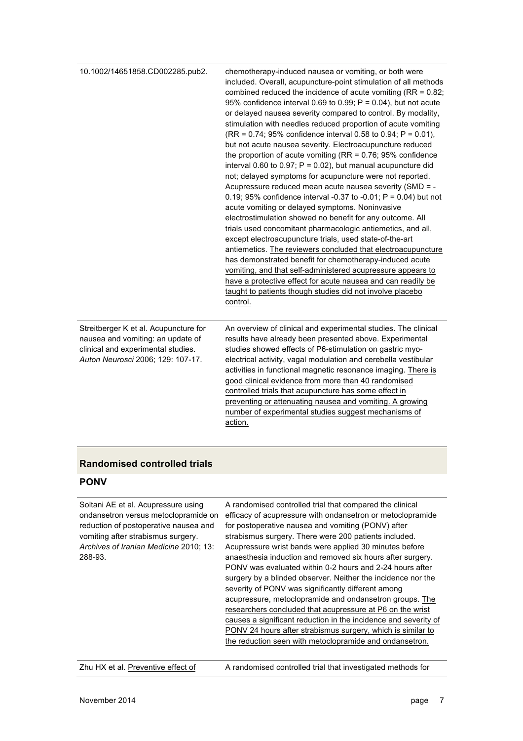| 10.1002/14651858.CD002285.pub2.                                                                                                                       | chemotherapy-induced nausea or vomiting, or both were<br>included. Overall, acupuncture-point stimulation of all methods<br>combined reduced the incidence of acute vomiting ( $RR = 0.82$ ;<br>95% confidence interval 0.69 to 0.99; $P = 0.04$ ), but not acute<br>or delayed nausea severity compared to control. By modality,<br>stimulation with needles reduced proportion of acute vomiting<br>$(RR = 0.74; 95\%$ confidence interval 0.58 to 0.94; P = 0.01),<br>but not acute nausea severity. Electroacupuncture reduced<br>the proportion of acute vomiting ( $RR = 0.76$ ; 95% confidence<br>interval 0.60 to 0.97; $P = 0.02$ ), but manual acupuncture did<br>not; delayed symptoms for acupuncture were not reported.<br>Acupressure reduced mean acute nausea severity (SMD = -<br>0.19; 95% confidence interval -0.37 to -0.01; $P = 0.04$ ) but not<br>acute vomiting or delayed symptoms. Noninvasive<br>electrostimulation showed no benefit for any outcome. All<br>trials used concomitant pharmacologic antiemetics, and all,<br>except electroacupuncture trials, used state-of-the-art<br>antiemetics. The reviewers concluded that electroacupuncture<br>has demonstrated benefit for chemotherapy-induced acute<br>vomiting, and that self-administered acupressure appears to<br>have a protective effect for acute nausea and can readily be<br>taught to patients though studies did not involve placebo<br>control. |
|-------------------------------------------------------------------------------------------------------------------------------------------------------|----------------------------------------------------------------------------------------------------------------------------------------------------------------------------------------------------------------------------------------------------------------------------------------------------------------------------------------------------------------------------------------------------------------------------------------------------------------------------------------------------------------------------------------------------------------------------------------------------------------------------------------------------------------------------------------------------------------------------------------------------------------------------------------------------------------------------------------------------------------------------------------------------------------------------------------------------------------------------------------------------------------------------------------------------------------------------------------------------------------------------------------------------------------------------------------------------------------------------------------------------------------------------------------------------------------------------------------------------------------------------------------------------------------------------------------------------|
| Streitberger K et al. Acupuncture for<br>nausea and vomiting: an update of<br>clinical and experimental studies.<br>Auton Neurosci 2006; 129: 107-17. | An overview of clinical and experimental studies. The clinical<br>results have already been presented above. Experimental<br>studies showed effects of P6-stimulation on gastric myo-<br>electrical activity, vagal modulation and cerebella vestibular<br>activities in functional magnetic resonance imaging. There is<br>good clinical evidence from more than 40 randomised<br>controlled trials that acupuncture has some effect in<br>preventing or attenuating nausea and vomiting. A growing<br>number of experimental studies suggest mechanisms of<br>action.                                                                                                                                                                                                                                                                                                                                                                                                                                                                                                                                                                                                                                                                                                                                                                                                                                                                            |

## **Randomised controlled trials**

### **PONV**

| Soltani AE et al. Acupressure using<br>ondansetron versus metoclopramide on<br>reduction of postoperative nausea and<br>vomiting after strabismus surgery.<br>Archives of Iranian Medicine 2010; 13:<br>288-93. | A randomised controlled trial that compared the clinical<br>efficacy of acupressure with ondansetron or metoclopramide<br>for postoperative nausea and vomiting (PONV) after<br>strabismus surgery. There were 200 patients included.<br>Acupressure wrist bands were applied 30 minutes before<br>anaesthesia induction and removed six hours after surgery.<br>PONV was evaluated within 0-2 hours and 2-24 hours after<br>surgery by a blinded observer. Neither the incidence nor the<br>severity of PONV was significantly different among<br>acupressure, metoclopramide and ondansetron groups. The<br>researchers concluded that acupressure at P6 on the wrist<br>causes a significant reduction in the incidence and severity of<br>PONV 24 hours after strabismus surgery, which is similar to<br>the reduction seen with metoclopramide and ondansetron. |
|-----------------------------------------------------------------------------------------------------------------------------------------------------------------------------------------------------------------|----------------------------------------------------------------------------------------------------------------------------------------------------------------------------------------------------------------------------------------------------------------------------------------------------------------------------------------------------------------------------------------------------------------------------------------------------------------------------------------------------------------------------------------------------------------------------------------------------------------------------------------------------------------------------------------------------------------------------------------------------------------------------------------------------------------------------------------------------------------------|
| Zhu HX et al. Preventive effect of                                                                                                                                                                              | A randomised controlled trial that investigated methods for                                                                                                                                                                                                                                                                                                                                                                                                                                                                                                                                                                                                                                                                                                                                                                                                          |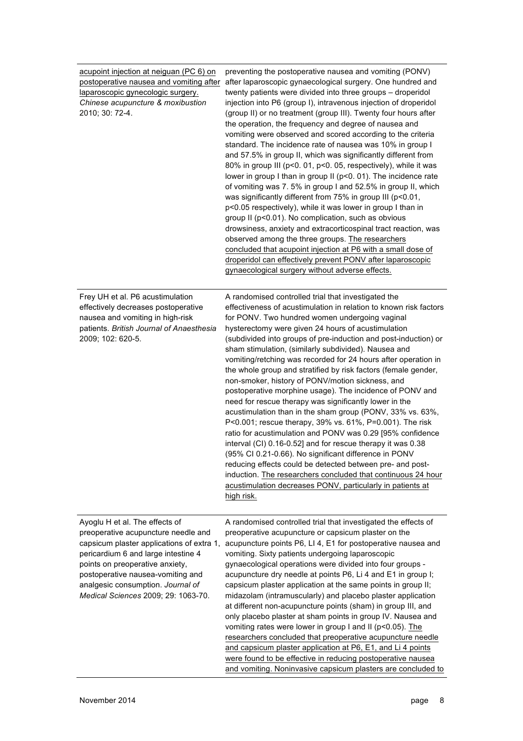| acupoint injection at neiguan (PC 6) on<br>postoperative nausea and vomiting after<br>laparoscopic gynecologic surgery.<br>Chinese acupuncture & moxibustion<br>2010; 30: 72-4.                                                                                                                               | preventing the postoperative nausea and vomiting (PONV)<br>after laparoscopic gynaecological surgery. One hundred and<br>twenty patients were divided into three groups - droperidol<br>injection into P6 (group I), intravenous injection of droperidol<br>(group II) or no treatment (group III). Twenty four hours after<br>the operation, the frequency and degree of nausea and<br>vomiting were observed and scored according to the criteria<br>standard. The incidence rate of nausea was 10% in group I<br>and 57.5% in group II, which was significantly different from<br>80% in group III (p<0. 01, p<0. 05, respectively), while it was<br>lower in group I than in group II (p<0. 01). The incidence rate<br>of vomiting was 7.5% in group I and 52.5% in group II, which<br>was significantly different from 75% in group III (p<0.01,<br>p<0.05 respectively), while it was lower in group I than in<br>group II (p<0.01). No complication, such as obvious<br>drowsiness, anxiety and extracorticospinal tract reaction, was<br>observed among the three groups. The researchers<br>concluded that acupoint injection at P6 with a small dose of<br>droperidol can effectively prevent PONV after laparoscopic<br>gynaecological surgery without adverse effects. |
|---------------------------------------------------------------------------------------------------------------------------------------------------------------------------------------------------------------------------------------------------------------------------------------------------------------|------------------------------------------------------------------------------------------------------------------------------------------------------------------------------------------------------------------------------------------------------------------------------------------------------------------------------------------------------------------------------------------------------------------------------------------------------------------------------------------------------------------------------------------------------------------------------------------------------------------------------------------------------------------------------------------------------------------------------------------------------------------------------------------------------------------------------------------------------------------------------------------------------------------------------------------------------------------------------------------------------------------------------------------------------------------------------------------------------------------------------------------------------------------------------------------------------------------------------------------------------------------------------------|
| Frey UH et al. P6 acustimulation<br>effectively decreases postoperative<br>nausea and vomiting in high-risk<br>patients. British Journal of Anaesthesia<br>2009; 102: 620-5.                                                                                                                                  | A randomised controlled trial that investigated the<br>effectiveness of acustimulation in relation to known risk factors<br>for PONV. Two hundred women undergoing vaginal<br>hysterectomy were given 24 hours of acustimulation<br>(subdivided into groups of pre-induction and post-induction) or<br>sham stimulation, (similarly subdivided). Nausea and<br>vomiting/retching was recorded for 24 hours after operation in<br>the whole group and stratified by risk factors (female gender,<br>non-smoker, history of PONV/motion sickness, and<br>postoperative morphine usage). The incidence of PONV and<br>need for rescue therapy was significantly lower in the<br>acustimulation than in the sham group (PONV, 33% vs. 63%,<br>P<0.001; rescue therapy, 39% vs. 61%, P=0.001). The risk<br>ratio for acustimulation and PONV was 0.29 [95% confidence<br>interval (CI) 0.16-0.52] and for rescue therapy it was 0.38<br>(95% CI 0.21-0.66). No significant difference in PONV<br>reducing effects could be detected between pre- and post-<br>induction. The researchers concluded that continuous 24 hour<br>acustimulation decreases PONV, particularly in patients at<br>high risk.                                                                                  |
| Ayoglu H et al. The effects of<br>preoperative acupuncture needle and<br>capsicum plaster applications of extra 1,<br>pericardium 6 and large intestine 4<br>points on preoperative anxiety,<br>postoperative nausea-vomiting and<br>analgesic consumption. Journal of<br>Medical Sciences 2009; 29: 1063-70. | A randomised controlled trial that investigated the effects of<br>preoperative acupuncture or capsicum plaster on the<br>acupuncture points P6, LI 4, E1 for postoperative nausea and<br>vomiting. Sixty patients undergoing laparoscopic<br>gynaecological operations were divided into four groups -<br>acupuncture dry needle at points P6, Li 4 and E1 in group I;<br>capsicum plaster application at the same points in group II;<br>midazolam (intramuscularly) and placebo plaster application<br>at different non-acupuncture points (sham) in group III, and<br>only placebo plaster at sham points in group IV. Nausea and<br>vomiting rates were lower in group I and II (p<0.05). The<br>researchers concluded that preoperative acupuncture needle<br>and capsicum plaster application at P6, E1, and Li 4 points<br>were found to be effective in reducing postoperative nausea<br>and vomiting. Noninvasive capsicum plasters are concluded to                                                                                                                                                                                                                                                                                                                      |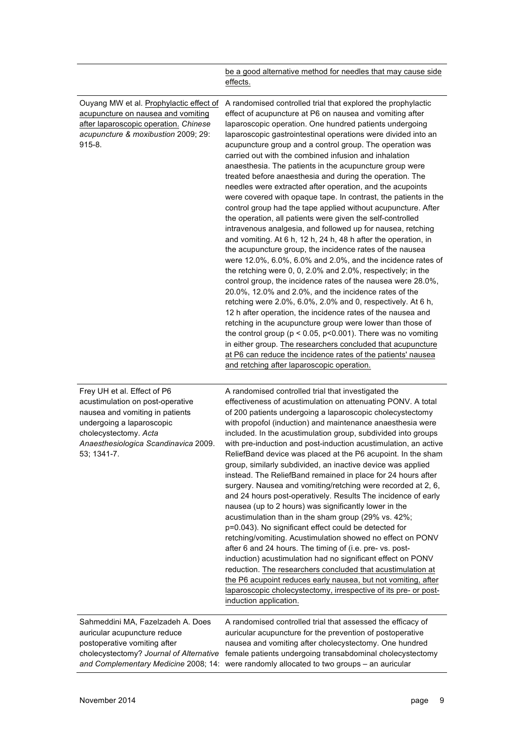|                                                                                                                                                                                                                 | be a good alternative method for needles that may cause side<br>effects.                                                                                                                                                                                                                                                                                                                                                                                                                                                                                                                                                                                                                                                                                                                                                                                                                                                                                                                                                                                                                                                                                                                                                                                                                                                                                                                                                                                                                                                                                                                                                                                              |
|-----------------------------------------------------------------------------------------------------------------------------------------------------------------------------------------------------------------|-----------------------------------------------------------------------------------------------------------------------------------------------------------------------------------------------------------------------------------------------------------------------------------------------------------------------------------------------------------------------------------------------------------------------------------------------------------------------------------------------------------------------------------------------------------------------------------------------------------------------------------------------------------------------------------------------------------------------------------------------------------------------------------------------------------------------------------------------------------------------------------------------------------------------------------------------------------------------------------------------------------------------------------------------------------------------------------------------------------------------------------------------------------------------------------------------------------------------------------------------------------------------------------------------------------------------------------------------------------------------------------------------------------------------------------------------------------------------------------------------------------------------------------------------------------------------------------------------------------------------------------------------------------------------|
| Ouyang MW et al. Prophylactic effect of<br>acupuncture on nausea and vomiting<br>after laparoscopic operation. Chinese<br>acupuncture & moxibustion 2009; 29:<br>$915 - 8.$                                     | A randomised controlled trial that explored the prophylactic<br>effect of acupuncture at P6 on nausea and vomiting after<br>laparoscopic operation. One hundred patients undergoing<br>laparoscopic gastrointestinal operations were divided into an<br>acupuncture group and a control group. The operation was<br>carried out with the combined infusion and inhalation<br>anaesthesia. The patients in the acupuncture group were<br>treated before anaesthesia and during the operation. The<br>needles were extracted after operation, and the acupoints<br>were covered with opaque tape. In contrast, the patients in the<br>control group had the tape applied without acupuncture. After<br>the operation, all patients were given the self-controlled<br>intravenous analgesia, and followed up for nausea, retching<br>and vomiting. At 6 h, 12 h, 24 h, 48 h after the operation, in<br>the acupuncture group, the incidence rates of the nausea<br>were 12.0%, 6.0%, 6.0% and 2.0%, and the incidence rates of<br>the retching were 0, 0, 2.0% and 2.0%, respectively; in the<br>control group, the incidence rates of the nausea were 28.0%,<br>20.0%, 12.0% and 2.0%, and the incidence rates of the<br>retching were 2.0%, 6.0%, 2.0% and 0, respectively. At 6 h,<br>12 h after operation, the incidence rates of the nausea and<br>retching in the acupuncture group were lower than those of<br>the control group ( $p < 0.05$ , $p < 0.001$ ). There was no vomiting<br>in either group. The researchers concluded that acupuncture<br>at P6 can reduce the incidence rates of the patients' nausea<br>and retching after laparoscopic operation. |
| Frey UH et al. Effect of P6<br>acustimulation on post-operative<br>nausea and vomiting in patients<br>undergoing a laparoscopic<br>cholecystectomy. Acta<br>Anaesthesiologica Scandinavica 2009.<br>53; 1341-7. | A randomised controlled trial that investigated the<br>effectiveness of acustimulation on attenuating PONV. A total<br>of 200 patients undergoing a laparoscopic cholecystectomy<br>with propofol (induction) and maintenance anaesthesia were<br>included. In the acustimulation group, subdivided into groups<br>with pre-induction and post-induction acustimulation, an active<br>ReliefBand device was placed at the P6 acupoint. In the sham<br>group, similarly subdivided, an inactive device was applied<br>instead. The ReliefBand remained in place for 24 hours after<br>surgery. Nausea and vomiting/retching were recorded at 2, 6,<br>and 24 hours post-operatively. Results The incidence of early<br>nausea (up to 2 hours) was significantly lower in the<br>acustimulation than in the sham group (29% vs. 42%;<br>p=0.043). No significant effect could be detected for<br>retching/vomiting. Acustimulation showed no effect on PONV<br>after 6 and 24 hours. The timing of (i.e. pre- vs. post-<br>induction) acustimulation had no significant effect on PONV<br>reduction. The researchers concluded that acustimulation at<br>the P6 acupoint reduces early nausea, but not vomiting, after<br>laparoscopic cholecystectomy, irrespective of its pre- or post-<br>induction application.                                                                                                                                                                                                                                                                                                                                                     |
| Sahmeddini MA, Fazelzadeh A. Does<br>auricular acupuncture reduce<br>postoperative vomiting after<br>cholecystectomy? Journal of Alternative<br>and Complementary Medicine 2008; 14:                            | A randomised controlled trial that assessed the efficacy of<br>auricular acupuncture for the prevention of postoperative<br>nausea and vomiting after cholecystectomy. One hundred<br>female patients undergoing transabdominal cholecystectomy<br>were randomly allocated to two groups - an auricular                                                                                                                                                                                                                                                                                                                                                                                                                                                                                                                                                                                                                                                                                                                                                                                                                                                                                                                                                                                                                                                                                                                                                                                                                                                                                                                                                               |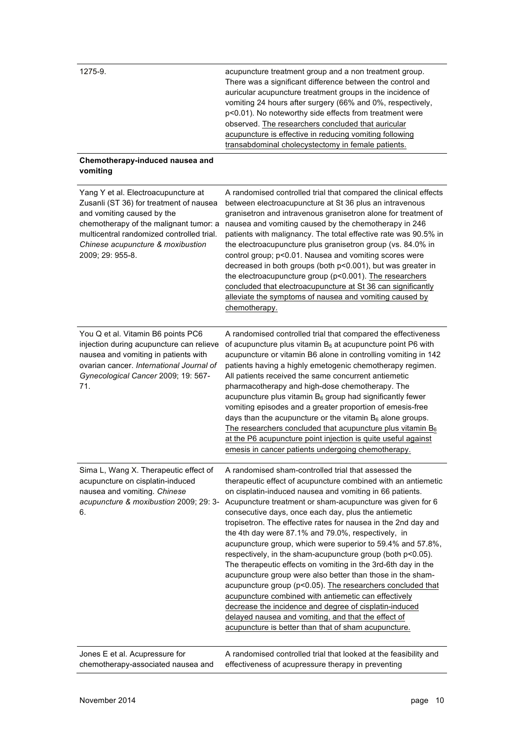| 1275-9.                                                                                                                                                                                                                                                      | acupuncture treatment group and a non treatment group.<br>There was a significant difference between the control and<br>auricular acupuncture treatment groups in the incidence of<br>vomiting 24 hours after surgery (66% and 0%, respectively,<br>p<0.01). No noteworthy side effects from treatment were<br>observed. The researchers concluded that auricular<br>acupuncture is effective in reducing vomiting following<br>transabdominal cholecystectomy in female patients.                                                                                                                                                                                                                                                                                                                                                                                                                                                                                                       |
|--------------------------------------------------------------------------------------------------------------------------------------------------------------------------------------------------------------------------------------------------------------|------------------------------------------------------------------------------------------------------------------------------------------------------------------------------------------------------------------------------------------------------------------------------------------------------------------------------------------------------------------------------------------------------------------------------------------------------------------------------------------------------------------------------------------------------------------------------------------------------------------------------------------------------------------------------------------------------------------------------------------------------------------------------------------------------------------------------------------------------------------------------------------------------------------------------------------------------------------------------------------|
| Chemotherapy-induced nausea and<br>vomiting                                                                                                                                                                                                                  |                                                                                                                                                                                                                                                                                                                                                                                                                                                                                                                                                                                                                                                                                                                                                                                                                                                                                                                                                                                          |
| Yang Y et al. Electroacupuncture at<br>Zusanli (ST 36) for treatment of nausea<br>and vomiting caused by the<br>chemotherapy of the malignant tumor: a<br>multicentral randomized controlled trial.<br>Chinese acupuncture & moxibustion<br>2009; 29: 955-8. | A randomised controlled trial that compared the clinical effects<br>between electroacupuncture at St 36 plus an intravenous<br>granisetron and intravenous granisetron alone for treatment of<br>nausea and vomiting caused by the chemotherapy in 246<br>patients with malignancy. The total effective rate was 90.5% in<br>the electroacupuncture plus granisetron group (vs. 84.0% in<br>control group; p<0.01. Nausea and vomiting scores were<br>decreased in both groups (both p<0.001), but was greater in<br>the electroacupuncture group (p<0.001). The researchers<br>concluded that electroacupuncture at St 36 can significantly<br>alleviate the symptoms of nausea and vomiting caused by<br>chemotherapy.                                                                                                                                                                                                                                                                 |
| You Q et al. Vitamin B6 points PC6<br>injection during acupuncture can relieve<br>nausea and vomiting in patients with<br>ovarian cancer. International Journal of<br>Gynecological Cancer 2009; 19: 567-<br>71.                                             | A randomised controlled trial that compared the effectiveness<br>of acupuncture plus vitamin $B_6$ at acupuncture point P6 with<br>acupuncture or vitamin B6 alone in controlling vomiting in 142<br>patients having a highly emetogenic chemotherapy regimen.<br>All patients received the same concurrent antiemetic<br>pharmacotherapy and high-dose chemotherapy. The<br>acupuncture plus vitamin $B_6$ group had significantly fewer<br>vomiting episodes and a greater proportion of emesis-free<br>days than the acupuncture or the vitamin $B_6$ alone groups.<br>The researchers concluded that acupuncture plus vitamin $B_6$<br>at the P6 acupuncture point injection is quite useful against<br>emesis in cancer patients undergoing chemotherapy.                                                                                                                                                                                                                           |
| Sima L, Wang X. Therapeutic effect of<br>acupuncture on cisplatin-induced<br>nausea and vomiting. Chinese<br>acupuncture & moxibustion 2009; 29: 3-<br>6.                                                                                                    | A randomised sham-controlled trial that assessed the<br>therapeutic effect of acupuncture combined with an antiemetic<br>on cisplatin-induced nausea and vomiting in 66 patients.<br>Acupuncture treatment or sham-acupuncture was given for 6<br>consecutive days, once each day, plus the antiemetic<br>tropisetron. The effective rates for nausea in the 2nd day and<br>the 4th day were 87.1% and 79.0%, respectively, in<br>acupuncture group, which were superior to 59.4% and 57.8%,<br>respectively, in the sham-acupuncture group (both p<0.05).<br>The therapeutic effects on vomiting in the 3rd-6th day in the<br>acupuncture group were also better than those in the sham-<br>acupuncture group (p<0.05). The researchers concluded that<br>acupuncture combined with antiemetic can effectively<br>decrease the incidence and degree of cisplatin-induced<br>delayed nausea and vomiting, and that the effect of<br>acupuncture is better than that of sham acupuncture. |
| Jones E et al. Acupressure for<br>chemotherapy-associated nausea and                                                                                                                                                                                         | A randomised controlled trial that looked at the feasibility and<br>effectiveness of acupressure therapy in preventing                                                                                                                                                                                                                                                                                                                                                                                                                                                                                                                                                                                                                                                                                                                                                                                                                                                                   |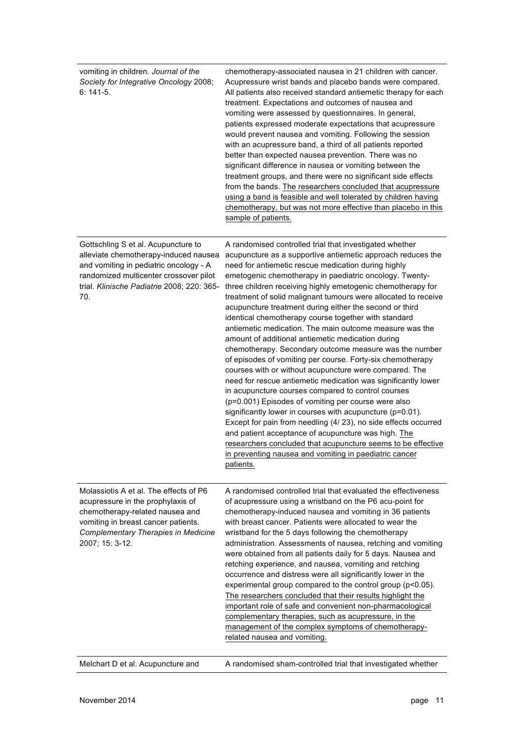| vomiting in children. Journal of the<br>Society for Integrative Oncology 2008;<br>$6:141-5.$                                                                                                                          | chemotherapy-associated nausea in 21 children with cancer.<br>Acupressure wrist bands and placebo bands were compared.<br>All patients also received standard antiemetic therapy for each<br>treatment. Expectations and outcomes of nausea and<br>vomiting were assessed by questionnaires. In general,<br>patients expressed moderate expectations that acupressure<br>would prevent nausea and vomiting. Following the session<br>with an acupressure band, a third of all patients reported<br>better than expected nausea prevention. There was no<br>significant difference in nausea or vomiting between the<br>treatment groups, and there were no significant side effects<br>from the bands. The researchers concluded that acupressure<br>using a band is feasible and well tolerated by children having<br>chemotherapy, but was not more effective than placebo in this<br>sample of patients.                                                                                                                                                                                                                                                                                                                                                                                               |
|-----------------------------------------------------------------------------------------------------------------------------------------------------------------------------------------------------------------------|-----------------------------------------------------------------------------------------------------------------------------------------------------------------------------------------------------------------------------------------------------------------------------------------------------------------------------------------------------------------------------------------------------------------------------------------------------------------------------------------------------------------------------------------------------------------------------------------------------------------------------------------------------------------------------------------------------------------------------------------------------------------------------------------------------------------------------------------------------------------------------------------------------------------------------------------------------------------------------------------------------------------------------------------------------------------------------------------------------------------------------------------------------------------------------------------------------------------------------------------------------------------------------------------------------------|
| Gottschling S et al. Acupuncture to<br>alleviate chemotherapy-induced nausea<br>and vomiting in pediatric oncology - A<br>randomized multicenter crossover pilot<br>trial. Klinische Padiatrie 2008; 220: 365-<br>70. | A randomised controlled trial that investigated whether<br>acupuncture as a supportive antiemetic approach reduces the<br>need for antiemetic rescue medication during highly<br>emetogenic chemotherapy in paediatric oncology. Twenty-<br>three children receiving highly emetogenic chemotherapy for<br>treatment of solid malignant tumours were allocated to receive<br>acupuncture treatment during either the second or third<br>identical chemotherapy course together with standard<br>antiemetic medication. The main outcome measure was the<br>amount of additional antiemetic medication during<br>chemotherapy. Secondary outcome measure was the number<br>of episodes of vomiting per course. Forty-six chemotherapy<br>courses with or without acupuncture were compared. The<br>need for rescue antiemetic medication was significantly lower<br>in acupuncture courses compared to control courses<br>(p=0.001) Episodes of vomiting per course were also<br>significantly lower in courses with acupuncture (p=0.01).<br>Except for pain from needling (4/23), no side effects occurred<br>and patient acceptance of acupuncture was high. The<br>researchers concluded that acupuncture seems to be effective<br>in preventing nausea and vomiting in paediatric cancer<br>patients. |
| Molassiotis A et al. The effects of P6<br>acupressure in the prophylaxis of<br>chemotherapy-related nausea and<br>vomiting in breast cancer patients.<br>Complementary Therapies in Medicine<br>2007; 15: 3-12.       | A randomised controlled trial that evaluated the effectiveness<br>of acupressure using a wristband on the P6 acu-point for<br>chemotherapy-induced nausea and vomiting in 36 patients<br>with breast cancer. Patients were allocated to wear the<br>wristband for the 5 days following the chemotherapy<br>administration. Assessments of nausea, retching and vomiting<br>were obtained from all patients daily for 5 days. Nausea and<br>retching experience, and nausea, vomiting and retching<br>occurrence and distress were all significantly lower in the<br>experimental group compared to the control group (p<0.05).<br>The researchers concluded that their results highlight the<br>important role of safe and convenient non-pharmacological<br>complementary therapies, such as acupressure, in the<br>management of the complex symptoms of chemotherapy-<br>related nausea and vomiting.                                                                                                                                                                                                                                                                                                                                                                                                  |
| Melchart D et al. Acupuncture and                                                                                                                                                                                     | A randomised sham-controlled trial that investigated whether                                                                                                                                                                                                                                                                                                                                                                                                                                                                                                                                                                                                                                                                                                                                                                                                                                                                                                                                                                                                                                                                                                                                                                                                                                              |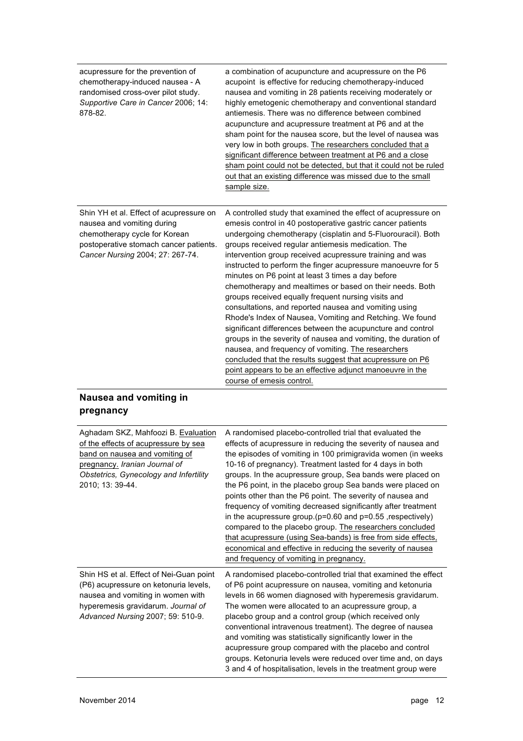| acupressure for the prevention of<br>chemotherapy-induced nausea - A<br>randomised cross-over pilot study.<br>Supportive Care in Cancer 2006; 14:<br>878-82.                         | a combination of acupuncture and acupressure on the P6<br>acupoint is effective for reducing chemotherapy-induced<br>nausea and vomiting in 28 patients receiving moderately or<br>highly emetogenic chemotherapy and conventional standard<br>antiemesis. There was no difference between combined<br>acupuncture and acupressure treatment at P6 and at the<br>sham point for the nausea score, but the level of nausea was<br>very low in both groups. The researchers concluded that a<br>significant difference between treatment at P6 and a close<br>sham point could not be detected, but that it could not be ruled<br>out that an existing difference was missed due to the small<br>sample size.                                                                                                                                                                                                                                                                                                              |
|--------------------------------------------------------------------------------------------------------------------------------------------------------------------------------------|--------------------------------------------------------------------------------------------------------------------------------------------------------------------------------------------------------------------------------------------------------------------------------------------------------------------------------------------------------------------------------------------------------------------------------------------------------------------------------------------------------------------------------------------------------------------------------------------------------------------------------------------------------------------------------------------------------------------------------------------------------------------------------------------------------------------------------------------------------------------------------------------------------------------------------------------------------------------------------------------------------------------------|
| Shin YH et al. Effect of acupressure on<br>nausea and vomiting during<br>chemotherapy cycle for Korean<br>postoperative stomach cancer patients.<br>Cancer Nursing 2004; 27: 267-74. | A controlled study that examined the effect of acupressure on<br>emesis control in 40 postoperative gastric cancer patients<br>undergoing chemotherapy (cisplatin and 5-Fluorouracil). Both<br>groups received regular antiemesis medication. The<br>intervention group received acupressure training and was<br>instructed to perform the finger acupressure manoeuvre for 5<br>minutes on P6 point at least 3 times a day before<br>chemotherapy and mealtimes or based on their needs. Both<br>groups received equally frequent nursing visits and<br>consultations, and reported nausea and vomiting using<br>Rhode's Index of Nausea, Vomiting and Retching. We found<br>significant differences between the acupuncture and control<br>groups in the severity of nausea and vomiting, the duration of<br>nausea, and frequency of vomiting. The researchers<br>concluded that the results suggest that acupressure on P6<br>point appears to be an effective adjunct manoeuvre in the<br>course of emesis control. |
| Nausea and vomiting in<br>pregnancy                                                                                                                                                  |                                                                                                                                                                                                                                                                                                                                                                                                                                                                                                                                                                                                                                                                                                                                                                                                                                                                                                                                                                                                                          |

| Aghadam SKZ, Mahfoozi B. Evaluation<br>of the effects of acupressure by sea<br>band on nausea and vomiting of<br>pregnancy. Iranian Journal of<br>Obstetrics, Gynecology and Infertility<br>2010; 13: 39-44. | A randomised placebo-controlled trial that evaluated the<br>effects of acupressure in reducing the severity of nausea and<br>the episodes of vomiting in 100 primigravida women (in weeks<br>10-16 of pregnancy). Treatment lasted for 4 days in both<br>groups. In the acupressure group, Sea bands were placed on<br>the P6 point, in the placebo group Sea bands were placed on<br>points other than the P6 point. The severity of nausea and<br>frequency of vomiting decreased significantly after treatment<br>in the acupressure group. ( $p=0.60$ and $p=0.55$ , respectively)<br>compared to the placebo group. The researchers concluded<br>that acupressure (using Sea-bands) is free from side effects,<br>economical and effective in reducing the severity of nausea<br>and frequency of vomiting in pregnancy. |
|--------------------------------------------------------------------------------------------------------------------------------------------------------------------------------------------------------------|-------------------------------------------------------------------------------------------------------------------------------------------------------------------------------------------------------------------------------------------------------------------------------------------------------------------------------------------------------------------------------------------------------------------------------------------------------------------------------------------------------------------------------------------------------------------------------------------------------------------------------------------------------------------------------------------------------------------------------------------------------------------------------------------------------------------------------|
| Shin HS et al. Effect of Nei-Guan point<br>(P6) acupressure on ketonuria levels,<br>nausea and vomiting in women with<br>hyperemesis gravidarum. Journal of<br>Advanced Nursing 2007; 59: 510-9.             | A randomised placebo-controlled trial that examined the effect<br>of P6 point acupressure on nausea, vomiting and ketonuria<br>levels in 66 women diagnosed with hyperemesis gravidarum.<br>The women were allocated to an acupressure group, a<br>placebo group and a control group (which received only<br>conventional intravenous treatment). The degree of nausea<br>and vomiting was statistically significantly lower in the<br>acupressure group compared with the placebo and control<br>groups. Ketonuria levels were reduced over time and, on days<br>3 and 4 of hospitalisation, levels in the treatment group were                                                                                                                                                                                              |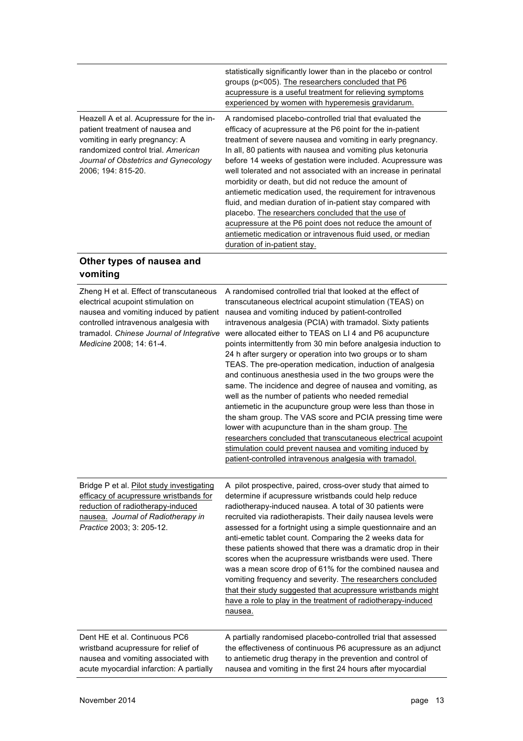|                                                                                                                                                                                                                   | statistically significantly lower than in the placebo or control<br>groups (p<005). The researchers concluded that P6<br>acupressure is a useful treatment for relieving symptoms<br>experienced by women with hyperemesis gravidarum.                                                                                                                                                                                                                                                                                                                                                                                                                                                                                                                                                        |
|-------------------------------------------------------------------------------------------------------------------------------------------------------------------------------------------------------------------|-----------------------------------------------------------------------------------------------------------------------------------------------------------------------------------------------------------------------------------------------------------------------------------------------------------------------------------------------------------------------------------------------------------------------------------------------------------------------------------------------------------------------------------------------------------------------------------------------------------------------------------------------------------------------------------------------------------------------------------------------------------------------------------------------|
| Heazell A et al. Acupressure for the in-<br>patient treatment of nausea and<br>vomiting in early pregnancy: A<br>randomized control trial. American<br>Journal of Obstetrics and Gynecology<br>2006; 194: 815-20. | A randomised placebo-controlled trial that evaluated the<br>efficacy of acupressure at the P6 point for the in-patient<br>treatment of severe nausea and vomiting in early pregnancy.<br>In all, 80 patients with nausea and vomiting plus ketonuria<br>before 14 weeks of gestation were included. Acupressure was<br>well tolerated and not associated with an increase in perinatal<br>morbidity or death, but did not reduce the amount of<br>antiemetic medication used, the requirement for intravenous<br>fluid, and median duration of in-patient stay compared with<br>placebo. The researchers concluded that the use of<br>acupressure at the P6 point does not reduce the amount of<br>antiemetic medication or intravenous fluid used, or median<br>duration of in-patient stay. |

## **Other types of nausea and vomiting**

| Zheng H et al. Effect of transcutaneous<br>electrical acupoint stimulation on<br>nausea and vomiting induced by patient<br>controlled intravenous analgesia with<br>tramadol. Chinese Journal of Integrative<br>Medicine 2008; 14: 61-4. | A randomised controlled trial that looked at the effect of<br>transcutaneous electrical acupoint stimulation (TEAS) on<br>nausea and vomiting induced by patient-controlled<br>intravenous analgesia (PCIA) with tramadol. Sixty patients<br>were allocated either to TEAS on LI 4 and P6 acupuncture<br>points intermittently from 30 min before analgesia induction to<br>24 h after surgery or operation into two groups or to sham<br>TEAS. The pre-operation medication, induction of analgesia<br>and continuous anesthesia used in the two groups were the<br>same. The incidence and degree of nausea and vomiting, as<br>well as the number of patients who needed remedial<br>antiemetic in the acupuncture group were less than those in<br>the sham group. The VAS score and PCIA pressing time were<br>lower with acupuncture than in the sham group. The<br>researchers concluded that transcutaneous electrical acupoint<br>stimulation could prevent nausea and vomiting induced by<br>patient-controlled intravenous analgesia with tramadol. |
|------------------------------------------------------------------------------------------------------------------------------------------------------------------------------------------------------------------------------------------|----------------------------------------------------------------------------------------------------------------------------------------------------------------------------------------------------------------------------------------------------------------------------------------------------------------------------------------------------------------------------------------------------------------------------------------------------------------------------------------------------------------------------------------------------------------------------------------------------------------------------------------------------------------------------------------------------------------------------------------------------------------------------------------------------------------------------------------------------------------------------------------------------------------------------------------------------------------------------------------------------------------------------------------------------------------|
| Bridge P et al. Pilot study investigating<br>efficacy of acupressure wristbands for<br>reduction of radiotherapy-induced<br>nausea. Journal of Radiotherapy in<br>Practice 2003; 3: 205-12.                                              | A pilot prospective, paired, cross-over study that aimed to<br>determine if acupressure wristbands could help reduce<br>radiotherapy-induced nausea. A total of 30 patients were<br>recruited via radiotherapists. Their daily nausea levels were<br>assessed for a fortnight using a simple questionnaire and an<br>anti-emetic tablet count. Comparing the 2 weeks data for<br>these patients showed that there was a dramatic drop in their<br>scores when the acupressure wristbands were used. There<br>was a mean score drop of 61% for the combined nausea and<br>vomiting frequency and severity. The researchers concluded<br>that their study suggested that acupressure wristbands might<br>have a role to play in the treatment of radiotherapy-induced<br>nausea.                                                                                                                                                                                                                                                                                 |
| Dent HE et al. Continuous PC6<br>wristband acupressure for relief of<br>nausea and vomiting associated with<br>acute myocardial infarction: A partially                                                                                  | A partially randomised placebo-controlled trial that assessed<br>the effectiveness of continuous P6 acupressure as an adjunct<br>to antiemetic drug therapy in the prevention and control of<br>nausea and vomiting in the first 24 hours after myocardial                                                                                                                                                                                                                                                                                                                                                                                                                                                                                                                                                                                                                                                                                                                                                                                                     |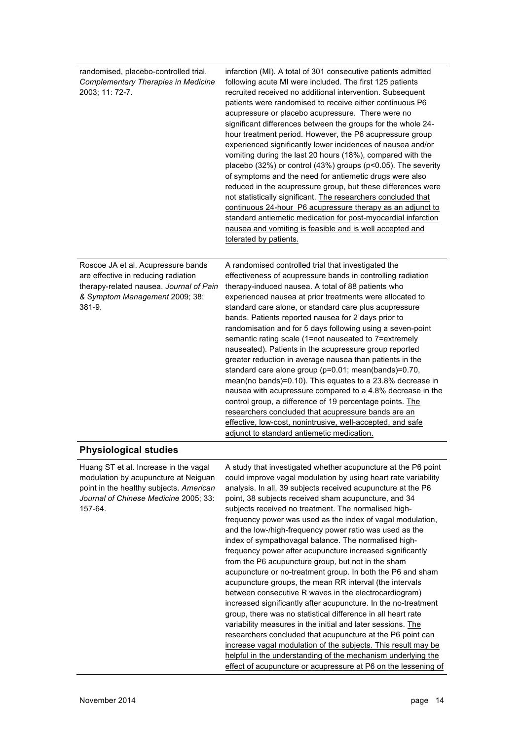| randomised, placebo-controlled trial.<br>Complementary Therapies in Medicine<br>2003; 11: 72-7.                                                                                                  | infarction (MI). A total of 301 consecutive patients admitted<br>following acute MI were included. The first 125 patients<br>recruited received no additional intervention. Subsequent<br>patients were randomised to receive either continuous P6<br>acupressure or placebo acupressure. There were no<br>significant differences between the groups for the whole 24-<br>hour treatment period. However, the P6 acupressure group<br>experienced significantly lower incidences of nausea and/or<br>vomiting during the last 20 hours (18%), compared with the<br>placebo (32%) or control (43%) groups ( $p$ <0.05). The severity<br>of symptoms and the need for antiemetic drugs were also<br>reduced in the acupressure group, but these differences were<br>not statistically significant. The researchers concluded that<br>continuous 24-hour P6 acupressure therapy as an adjunct to<br>standard antiemetic medication for post-myocardial infarction<br>nausea and vomiting is feasible and is well accepted and<br>tolerated by patients. |
|--------------------------------------------------------------------------------------------------------------------------------------------------------------------------------------------------|-------------------------------------------------------------------------------------------------------------------------------------------------------------------------------------------------------------------------------------------------------------------------------------------------------------------------------------------------------------------------------------------------------------------------------------------------------------------------------------------------------------------------------------------------------------------------------------------------------------------------------------------------------------------------------------------------------------------------------------------------------------------------------------------------------------------------------------------------------------------------------------------------------------------------------------------------------------------------------------------------------------------------------------------------------|
| Roscoe JA et al. Acupressure bands<br>are effective in reducing radiation<br>therapy-related nausea. Journal of Pain<br>& Symptom Management 2009; 38:<br>381-9.<br><b>Physiological studies</b> | A randomised controlled trial that investigated the<br>effectiveness of acupressure bands in controlling radiation<br>therapy-induced nausea. A total of 88 patients who<br>experienced nausea at prior treatments were allocated to<br>standard care alone, or standard care plus acupressure<br>bands. Patients reported nausea for 2 days prior to<br>randomisation and for 5 days following using a seven-point<br>semantic rating scale (1=not nauseated to 7=extremely<br>nauseated). Patients in the acupressure group reported<br>greater reduction in average nausea than patients in the<br>standard care alone group (p=0.01; mean(bands)=0.70,<br>mean(no bands)=0.10). This equates to a 23.8% decrease in<br>nausea with acupressure compared to a 4.8% decrease in the<br>control group, a difference of 19 percentage points. The<br>researchers concluded that acupressure bands are an<br>effective, low-cost, nonintrusive, well-accepted, and safe<br>adjunct to standard antiemetic medication.                                  |
|                                                                                                                                                                                                  |                                                                                                                                                                                                                                                                                                                                                                                                                                                                                                                                                                                                                                                                                                                                                                                                                                                                                                                                                                                                                                                       |

Huang ST et al. Increase in the vagal modulation by acupuncture at Neiguan point in the healthy subjects. *American Journal of Chinese Medicine* 2005; 33: 157-64. A study that investigated whether acupuncture at the P6 point could improve vagal modulation by using heart rate variability analysis. In all, 39 subjects received acupuncture at the P6 point, 38 subjects received sham acupuncture, and 34 subjects received no treatment. The normalised highfrequency power was used as the index of vagal modulation, and the low-/high-frequency power ratio was used as the index of sympathovagal balance. The normalised highfrequency power after acupuncture increased significantly from the P6 acupuncture group, but not in the sham acupuncture or no-treatment group. In both the P6 and sham acupuncture groups, the mean RR interval (the intervals between consecutive R waves in the electrocardiogram) increased significantly after acupuncture. In the no-treatment group, there was no statistical difference in all heart rate variability measures in the initial and later sessions. The researchers concluded that acupuncture at the P6 point can increase vagal modulation of the subjects. This result may be helpful in the understanding of the mechanism underlying the effect of acupuncture or acupressure at P6 on the lessening of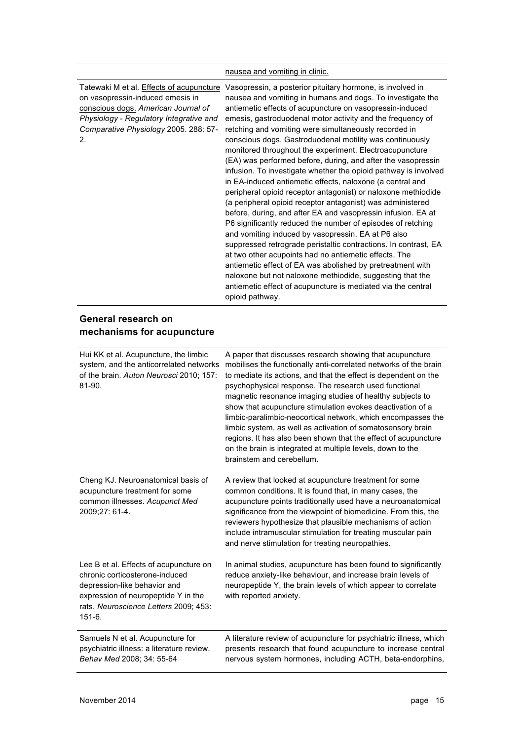|                                                                                                                                                                                                               | nausea and vomiting in clinic.                                                                                                                                                                                                                                                                                                                                                                                                                                                                                                                                                                                                                                                                                                                                                                                                                                                                                                                                                                                                                                                                                                                                                                                                                                                                   |
|---------------------------------------------------------------------------------------------------------------------------------------------------------------------------------------------------------------|--------------------------------------------------------------------------------------------------------------------------------------------------------------------------------------------------------------------------------------------------------------------------------------------------------------------------------------------------------------------------------------------------------------------------------------------------------------------------------------------------------------------------------------------------------------------------------------------------------------------------------------------------------------------------------------------------------------------------------------------------------------------------------------------------------------------------------------------------------------------------------------------------------------------------------------------------------------------------------------------------------------------------------------------------------------------------------------------------------------------------------------------------------------------------------------------------------------------------------------------------------------------------------------------------|
| Tatewaki M et al. Effects of acupuncture<br>on vasopressin-induced emesis in<br>conscious dogs. American Journal of<br>Physiology - Regulatory Integrative and<br>Comparative Physiology 2005. 288: 57-<br>2. | Vasopressin, a posterior pituitary hormone, is involved in<br>nausea and vomiting in humans and dogs. To investigate the<br>antiemetic effects of acupuncture on vasopressin-induced<br>emesis, gastroduodenal motor activity and the frequency of<br>retching and vomiting were simultaneously recorded in<br>conscious dogs. Gastroduodenal motility was continuously<br>monitored throughout the experiment. Electroacupuncture<br>(EA) was performed before, during, and after the vasopressin<br>infusion. To investigate whether the opioid pathway is involved<br>in EA-induced antiemetic effects, naloxone (a central and<br>peripheral opioid receptor antagonist) or naloxone methiodide<br>(a peripheral opioid receptor antagonist) was administered<br>before, during, and after EA and vasopressin infusion. EA at<br>P6 significantly reduced the number of episodes of retching<br>and vomiting induced by vasopressin. EA at P6 also<br>suppressed retrograde peristaltic contractions. In contrast, EA<br>at two other acupoints had no antiemetic effects. The<br>antiemetic effect of EA was abolished by pretreatment with<br>naloxone but not naloxone methiodide, suggesting that the<br>antiemetic effect of acupuncture is mediated via the central<br>opioid pathway. |
| General research on<br>mechanisms for acupuncture                                                                                                                                                             |                                                                                                                                                                                                                                                                                                                                                                                                                                                                                                                                                                                                                                                                                                                                                                                                                                                                                                                                                                                                                                                                                                                                                                                                                                                                                                  |
| Hui KK et al. Acupuncture, the limbic<br>system, and the anticorrelated networks<br>of the brain. Auton Neurosci 2010; 157:<br>81-90.                                                                         | A paper that discusses research showing that acupuncture<br>mobilises the functionally anti-correlated networks of the brain<br>to mediate its actions, and that the effect is dependent on the<br>psychophysical response. The research used functional<br>magnetic resonance imaging studies of healthy subjects to<br>show that acupuncture stimulation evokes deactivation of a<br>limbic-paralimbic-neocortical network, which encompasses the<br>limbic system, as well as activation of somatosensory brain<br>regions. It has also been shown that the effect of acupuncture<br>on the brain is integrated at multiple levels, down to the<br>brainstem and cerebellum.                                                                                                                                                                                                                                                                                                                                                                                                                                                                                                                                                                                                                  |
| Cheng KJ. Neuroanatomical basis of<br>acupuncture treatment for some<br>common illnesses. Acupunct Med<br>2009;27: 61-4.                                                                                      | A review that looked at acupuncture treatment for some<br>common conditions. It is found that, in many cases, the<br>acupuncture points traditionally used have a neuroanatomical<br>significance from the viewpoint of biomedicine. From this, the<br>reviewers hypothesize that plausible mechanisms of action<br>include intramuscular stimulation for treating muscular pain<br>and nerve stimulation for treating neuropathies.                                                                                                                                                                                                                                                                                                                                                                                                                                                                                                                                                                                                                                                                                                                                                                                                                                                             |
| Lee B et al. Effects of acupuncture on<br>chronic corticosterone-induced<br>depression-like behavior and<br>expression of neuropeptide Y in the<br>rats. Neuroscience Letters 2009; 453:<br>$151-6.$          | In animal studies, acupuncture has been found to significantly<br>reduce anxiety-like behaviour, and increase brain levels of<br>neuropeptide Y, the brain levels of which appear to correlate<br>with reported anxiety.                                                                                                                                                                                                                                                                                                                                                                                                                                                                                                                                                                                                                                                                                                                                                                                                                                                                                                                                                                                                                                                                         |
| Samuels N et al. Acupuncture for<br>psychiatric illness: a literature review.<br>Behav Med 2008; 34: 55-64                                                                                                    | A literature review of acupuncture for psychiatric illness, which<br>presents research that found acupuncture to increase central<br>nervous system hormones, including ACTH, beta-endorphins,                                                                                                                                                                                                                                                                                                                                                                                                                                                                                                                                                                                                                                                                                                                                                                                                                                                                                                                                                                                                                                                                                                   |